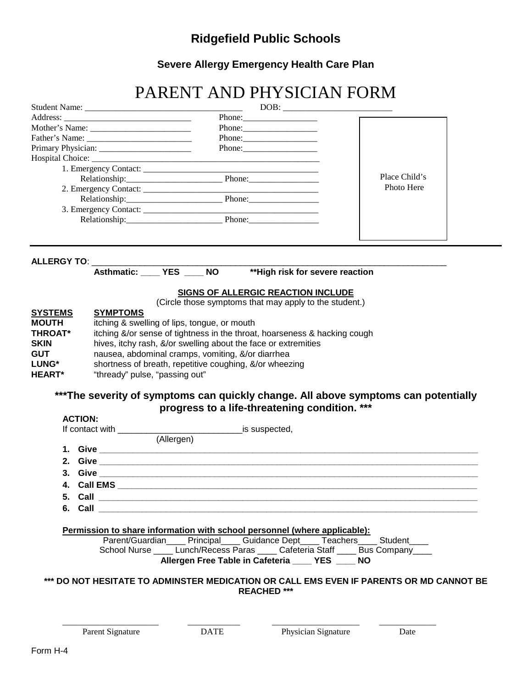## **Ridgefield Public Schools**

**Severe Allergy Emergency Health Care Plan**

# PARENT AND PHYSICIAN FORM

| Father's Name:                                                                 |                         |                                                                                                     |                                                                |  |  |  |
|--------------------------------------------------------------------------------|-------------------------|-----------------------------------------------------------------------------------------------------|----------------------------------------------------------------|--|--|--|
|                                                                                |                         | Phone: 2008                                                                                         |                                                                |  |  |  |
|                                                                                |                         | <u> 1980 - Jan James James Barnett, fransk politik (d. 1980)</u>                                    |                                                                |  |  |  |
|                                                                                |                         |                                                                                                     |                                                                |  |  |  |
|                                                                                |                         |                                                                                                     | Place Child's                                                  |  |  |  |
|                                                                                |                         |                                                                                                     | Photo Here                                                     |  |  |  |
|                                                                                |                         |                                                                                                     |                                                                |  |  |  |
|                                                                                |                         |                                                                                                     |                                                                |  |  |  |
|                                                                                |                         |                                                                                                     |                                                                |  |  |  |
|                                                                                |                         |                                                                                                     |                                                                |  |  |  |
|                                                                                |                         |                                                                                                     |                                                                |  |  |  |
|                                                                                |                         |                                                                                                     |                                                                |  |  |  |
|                                                                                | ALLERGY TO: ___________ | Asthmatic: ____ YES ____ NO                                                                         |                                                                |  |  |  |
|                                                                                |                         | ** High risk for severe reaction                                                                    |                                                                |  |  |  |
|                                                                                |                         |                                                                                                     |                                                                |  |  |  |
|                                                                                |                         | <b>SIGNS OF ALLERGIC REACTION INCLUDE</b><br>(Circle those symptoms that may apply to the student.) |                                                                |  |  |  |
| <b>SYSTEMS</b>                                                                 | <b>SYMPTOMS</b>         |                                                                                                     |                                                                |  |  |  |
| <b>MOUTH</b><br>itching & swelling of lips, tongue, or mouth<br><b>THROAT*</b> |                         |                                                                                                     |                                                                |  |  |  |
|                                                                                |                         | itching &/or sense of tightness in the throat, hoarseness & hacking cough                           |                                                                |  |  |  |
| <b>SKIN</b>                                                                    |                         |                                                                                                     | hives, itchy rash, &/or swelling about the face or extremities |  |  |  |
|                                                                                |                         | nausea, abdominal cramps, vomiting, &/or diarrhea                                                   |                                                                |  |  |  |
| <b>GUT</b>                                                                     |                         | shortness of breath, repetitive coughing, &/or wheezing                                             |                                                                |  |  |  |
| LUNG*<br><b>HEART*</b><br>"thready" pulse, "passing out"                       |                         |                                                                                                     |                                                                |  |  |  |
|                                                                                |                         |                                                                                                     |                                                                |  |  |  |
|                                                                                |                         |                                                                                                     |                                                                |  |  |  |
|                                                                                |                         | ***The severity of symptoms can quickly change. All above symptoms can potentially                  |                                                                |  |  |  |
|                                                                                |                         | progress to a life-threatening condition. ***                                                       |                                                                |  |  |  |
| <b>ACTION:</b>                                                                 |                         |                                                                                                     |                                                                |  |  |  |
|                                                                                | If contact with         | ____________________________is suspected,                                                           |                                                                |  |  |  |
|                                                                                |                         | (Allergen)                                                                                          |                                                                |  |  |  |
|                                                                                |                         |                                                                                                     |                                                                |  |  |  |
|                                                                                |                         |                                                                                                     |                                                                |  |  |  |
|                                                                                |                         |                                                                                                     |                                                                |  |  |  |
|                                                                                |                         |                                                                                                     |                                                                |  |  |  |
| 5. Call                                                                        |                         |                                                                                                     |                                                                |  |  |  |

**6. Call \_\_\_\_\_\_\_\_\_\_\_\_\_\_\_\_\_\_\_\_\_\_\_\_\_\_\_\_\_\_\_\_\_\_\_\_\_\_\_\_\_\_\_\_\_\_\_\_\_\_\_\_\_\_\_\_\_\_\_\_\_\_\_\_\_\_\_\_\_\_\_\_\_\_\_\_\_\_\_**

#### **Permission to share information with school personnel (where applicable):**

Parent/Guardian\_\_\_\_ Principal\_\_\_\_ Guidance Dept\_\_\_\_ Teachers\_\_\_\_ Student\_\_\_\_ School Nurse \_\_\_\_ Lunch/Recess Paras \_\_\_\_ Cafeteria Staff \_\_\_\_ Bus Company\_\_\_\_ **Allergen Free Table in Cafeteria \_\_\_\_ YES \_\_\_\_ NO**

#### **\*\*\* DO NOT HESITATE TO ADMINSTER MEDICATION OR CALL EMS EVEN IF PARENTS OR MD CANNOT BE REACHED \*\*\***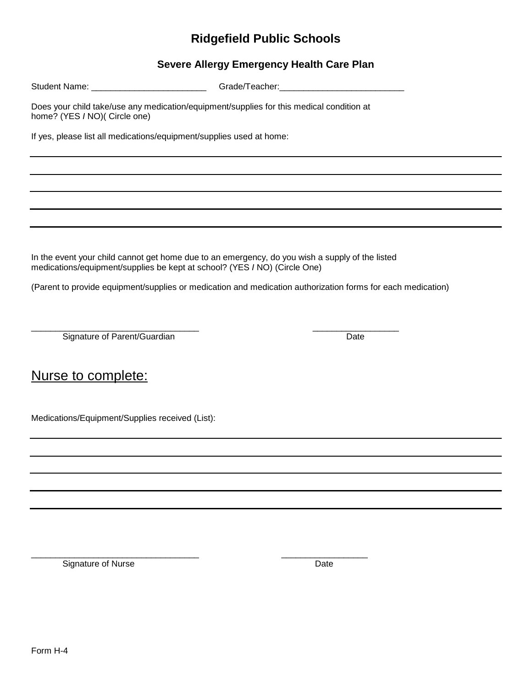## **Ridgefield Public Schools**

### **Severe Allergy Emergency Health Care Plan**

| Student Name: ______________________________                                                                              |                                                                           |                                                                                                 |  |  |  |  |  |  |  |  |  |  |
|---------------------------------------------------------------------------------------------------------------------------|---------------------------------------------------------------------------|-------------------------------------------------------------------------------------------------|--|--|--|--|--|--|--|--|--|--|
| Does your child take/use any medication/equipment/supplies for this medical condition at<br>home? (YES / NO)( Circle one) |                                                                           |                                                                                                 |  |  |  |  |  |  |  |  |  |  |
|                                                                                                                           | If yes, please list all medications/equipment/supplies used at home:      |                                                                                                 |  |  |  |  |  |  |  |  |  |  |
|                                                                                                                           |                                                                           |                                                                                                 |  |  |  |  |  |  |  |  |  |  |
|                                                                                                                           |                                                                           |                                                                                                 |  |  |  |  |  |  |  |  |  |  |
|                                                                                                                           |                                                                           |                                                                                                 |  |  |  |  |  |  |  |  |  |  |
|                                                                                                                           |                                                                           |                                                                                                 |  |  |  |  |  |  |  |  |  |  |
|                                                                                                                           |                                                                           |                                                                                                 |  |  |  |  |  |  |  |  |  |  |
|                                                                                                                           | medications/equipment/supplies be kept at school? (YES / NO) (Circle One) | In the event your child cannot get home due to an emergency, do you wish a supply of the listed |  |  |  |  |  |  |  |  |  |  |
| (Parent to provide equipment/supplies or medication and medication authorization forms for each medication)               |                                                                           |                                                                                                 |  |  |  |  |  |  |  |  |  |  |
|                                                                                                                           |                                                                           |                                                                                                 |  |  |  |  |  |  |  |  |  |  |
| Signature of Parent/Guardian                                                                                              |                                                                           | Date                                                                                            |  |  |  |  |  |  |  |  |  |  |

## Nurse to complete:

Medications/Equipment/Supplies received (List):

\_\_\_\_\_\_\_\_\_\_\_\_\_\_\_\_\_\_\_\_\_\_\_\_\_\_\_\_\_\_\_\_\_\_\_ \_\_\_\_\_\_\_\_\_\_\_\_\_\_\_\_\_\_ Signature of Nurse Date